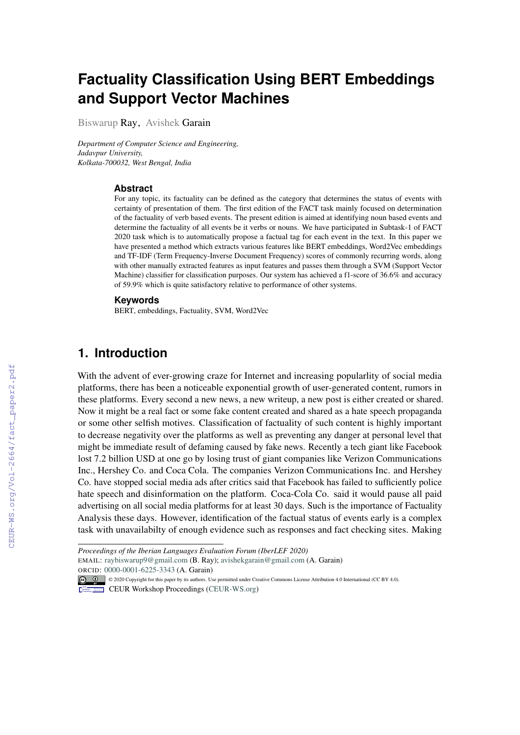# **Factuality Classification Using BERT Embeddings and Support Vector Machines**

Biswarup Ray, Avishek Garain

*Department of Computer Science and Engineering, Jadavpur University, Kolkata-700032, West Bengal, India*

#### **Abstract**

For any topic, its factuality can be defined as the category that determines the status of events with certainty of presentation of them. The first edition of the FACT task mainly focused on determination of the factuality of verb based events. The present edition is aimed at identifying noun based events and determine the factuality of all events be it verbs or nouns. We have participated in Subtask-1 of FACT 2020 task which is to automatically propose a factual tag for each event in the text. In this paper we have presented a method which extracts various features like BERT embeddings, Word2Vec embeddings and TF-IDF (Term Frequency-Inverse Document Frequency) scores of commonly recurring words, along with other manually extracted features as input features and passes them through a SVM (Support Vector Machine) classifier for classification purposes. Our system has achieved a f1-score of 36.6% and accuracy of 59.9% which is quite satisfactory relative to performance of other systems.

#### **Keywords**

BERT, embeddings, Factuality, SVM, Word2Vec

# **1. Introduction**

With the advent of ever-growing craze for Internet and increasing popularlity of social media platforms, there has been a noticeable exponential growth of user-generated content, rumors in these platforms. Every second a new news, a new writeup, a new post is either created or shared. Now it might be a real fact or some fake content created and shared as a hate speech propaganda or some other selfish motives. Classification of factuality of such content is highly important to decrease negativity over the platforms as well as preventing any danger at personal level that might be immediate result of defaming caused by fake news. Recently a tech giant like Facebook lost 7.2 billion USD at one go by losing trust of giant companies like Verizon Communications Inc., Hershey Co. and Coca Cola. The companies Verizon Communications Inc. and Hershey Co. have stopped social media ads after critics said that Facebook has failed to sufficiently police hate speech and disinformation on the platform. Coca-Cola Co. said it would pause all paid advertising on all social media platforms for at least 30 days. Such is the importance of Factuality Analysis these days. However, identification of the factual status of events early is a complex task with unavailabilty of enough evidence such as responses and fact checking sites. Making

*Proceedings of the Iberian Languages Evaluation Forum (IberLEF 2020)* EMAIL: [raybiswarup9@gmail.com](mailto:raybiswarup9@gmail.com) (B. Ray); [avishekgarain@gmail.com](mailto:avishekgarain@gmail.com) (A. Garain) ORCID[:](https://creativecommons.org/licenses/by/4.0) [0000-0001-6225-3343](https://orcid.org/0000-0001-6225-3343) (A. Garain)

<sup>© &</sup>lt;sup>0</sup> © 2020 Copyright for this paper by its authors. Use permitted under Creative Commons License Attribution 4.0 International (CC BY 4.0).

CEUR Workshop [Proceedings](http://ceur-ws.org) [\(CEUR-WS.org\)](http://ceur-ws.org)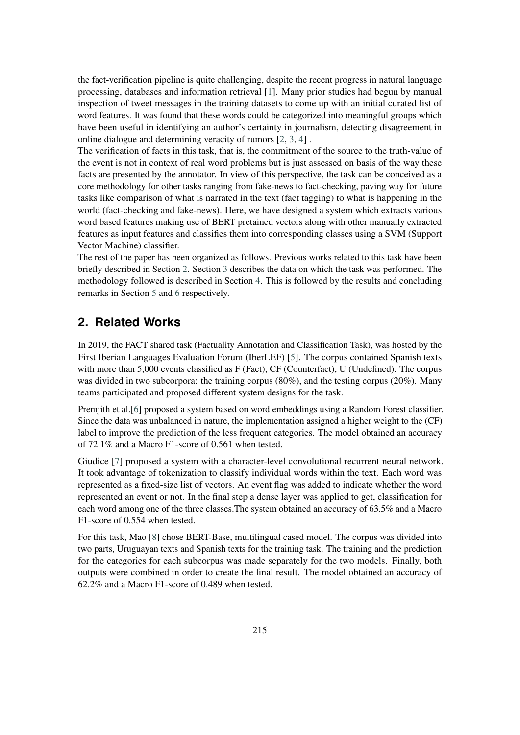the fact-verification pipeline is quite challenging, despite the recent progress in natural language processing, databases and information retrieval [\[1\]](#page-6-0). Many prior studies had begun by manual inspection of tweet messages in the training datasets to come up with an initial curated list of word features. It was found that these words could be categorized into meaningful groups which have been useful in identifying an author's certainty in journalism, detecting disagreement in online dialogue and determining veracity of rumors [\[2,](#page-6-1) [3,](#page-6-2) [4\]](#page-6-3) .

The verification of facts in this task, that is, the commitment of the source to the truth-value of the event is not in context of real word problems but is just assessed on basis of the way these facts are presented by the annotator. In view of this perspective, the task can be conceived as a core methodology for other tasks ranging from fake-news to fact-checking, paving way for future tasks like comparison of what is narrated in the text (fact tagging) to what is happening in the world (fact-checking and fake-news). Here, we have designed a system which extracts various word based features making use of BERT pretained vectors along with other manually extracted features as input features and classifies them into corresponding classes using a SVM (Support Vector Machine) classifier.

The rest of the paper has been organized as follows. Previous works related to this task have been briefly described in Section [2.](#page-1-0) Section [3](#page-2-0) describes the data on which the task was performed. The methodology followed is described in Section [4.](#page-2-1) This is followed by the results and concluding remarks in Section [5](#page-5-0) and [6](#page-5-1) respectively.

# <span id="page-1-0"></span>**2. Related Works**

In 2019, the FACT shared task (Factuality Annotation and Classification Task), was hosted by the First Iberian Languages Evaluation Forum (IberLEF) [\[5\]](#page-6-4). The corpus contained Spanish texts with more than 5,000 events classified as F (Fact), CF (Counterfact), U (Undefined). The corpus was divided in two subcorpora: the training corpus (80%), and the testing corpus (20%). Many teams participated and proposed different system designs for the task.

Premjith et al.[\[6\]](#page-6-5) proposed a system based on word embeddings using a Random Forest classifier. Since the data was unbalanced in nature, the implementation assigned a higher weight to the (CF) label to improve the prediction of the less frequent categories. The model obtained an accuracy of 72.1% and a Macro F1-score of 0.561 when tested.

Giudice [\[7\]](#page-6-6) proposed a system with a character-level convolutional recurrent neural network. It took advantage of tokenization to classify individual words within the text. Each word was represented as a fixed-size list of vectors. An event flag was added to indicate whether the word represented an event or not. In the final step a dense layer was applied to get, classification for each word among one of the three classes.The system obtained an accuracy of 63.5% and a Macro F1-score of 0.554 when tested.

For this task, Mao [\[8\]](#page-6-7) chose BERT-Base, multilingual cased model. The corpus was divided into two parts, Uruguayan texts and Spanish texts for the training task. The training and the prediction for the categories for each subcorpus was made separately for the two models. Finally, both outputs were combined in order to create the final result. The model obtained an accuracy of 62.2% and a Macro F1-score of 0.489 when tested.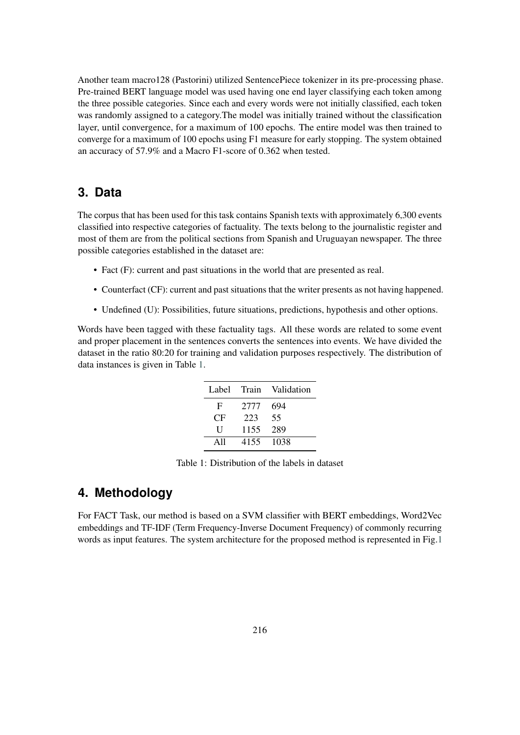Another team macro128 (Pastorini) utilized SentencePiece tokenizer in its pre-processing phase. Pre-trained BERT language model was used having one end layer classifying each token among the three possible categories. Since each and every words were not initially classified, each token was randomly assigned to a category.The model was initially trained without the classification layer, until convergence, for a maximum of 100 epochs. The entire model was then trained to converge for a maximum of 100 epochs using F1 measure for early stopping. The system obtained an accuracy of 57.9% and a Macro F1-score of 0.362 when tested.

#### <span id="page-2-0"></span>**3. Data**

The corpus that has been used for this task contains Spanish texts with approximately 6,300 events classified into respective categories of factuality. The texts belong to the journalistic register and most of them are from the political sections from Spanish and Uruguayan newspaper. The three possible categories established in the dataset are:

- Fact (F): current and past situations in the world that are presented as real.
- Counterfact (CF): current and past situations that the writer presents as not having happened.
- Undefined (U): Possibilities, future situations, predictions, hypothesis and other options.

<span id="page-2-2"></span>Words have been tagged with these factuality tags. All these words are related to some event and proper placement in the sentences converts the sentences into events. We have divided the dataset in the ratio 80:20 for training and validation purposes respectively. The distribution of data instances is given in Table [1.](#page-2-2)

| Label | Train | Validation |
|-------|-------|------------|
| F     | 2777  | 694        |
| CF    | 223   | 55         |
| H     | 1155  | 289        |
| A11   | 4155  | 1038       |

Table 1: Distribution of the labels in dataset

### <span id="page-2-1"></span>**4. Methodology**

For FACT Task, our method is based on a SVM classifier with BERT embeddings, Word2Vec embeddings and TF-IDF (Term Frequency-Inverse Document Frequency) of commonly recurring words as input features. The system architecture for the proposed method is represented in Fig[.1](#page-3-0)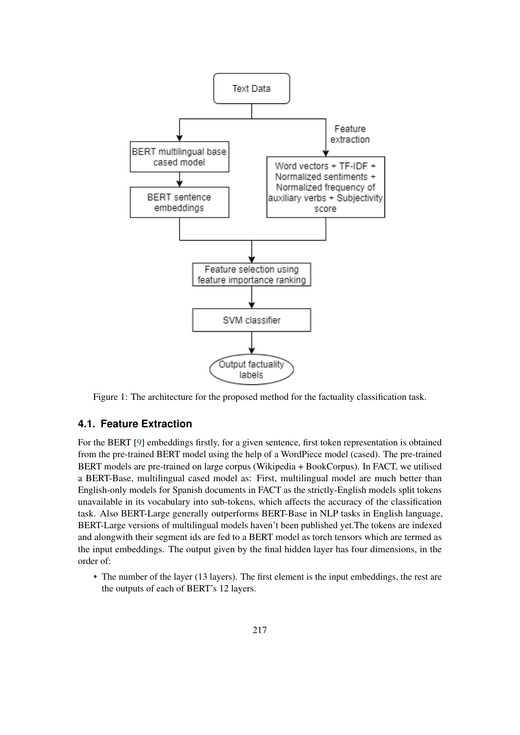

<span id="page-3-0"></span>Figure 1: The architecture for the proposed method for the factuality classification task.

#### **4.1. Feature Extraction**

For the BERT [\[9\]](#page-6-8) embeddings firstly, for a given sentence, first token representation is obtained from the pre-trained BERT model using the help of a WordPiece model (cased). The pre-trained BERT models are pre-trained on large corpus (Wikipedia + BookCorpus). In FACT, we utilised a BERT-Base, multilingual cased model as: First, multilingual model are much better than English-only models for Spanish documents in FACT as the strictly-English models split tokens unavailable in its vocabulary into sub-tokens, which affects the accuracy of the classification task. Also BERT-Large generally outperforms BERT-Base in NLP tasks in English language, BERT-Large versions of multilingual models haven't been published yet.The tokens are indexed and alongwith their segment ids are fed to a BERT model as torch tensors which are termed as the input embeddings. The output given by the final hidden layer has four dimensions, in the order of:

• The number of the layer (13 layers). The first element is the input embeddings, the rest are the outputs of each of BERT's 12 layers.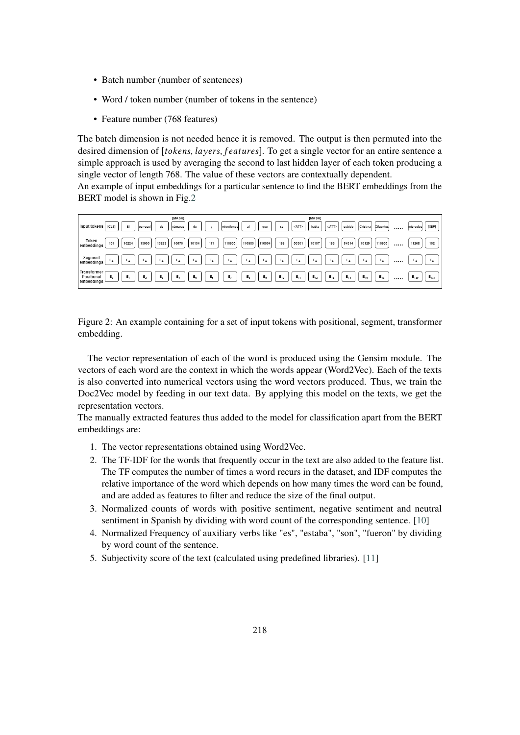- Batch number (number of sentences)
- Word / token number (number of tokens in the sentence)
- Feature number (768 features)

The batch dimension is not needed hence it is removed. The output is then permuted into the desired dimension of [tokens, layers, features]. To get a single vector for an entire sentence a simple approach is used by averaging the second to last hidden layer of each token producing a single vector of length 768. The value of these vectors are contextually dependent.

An example of input embeddings for a particular sentence to find the BERT embeddings from the BERT model is shown in Fig[.2](#page-4-0)



<span id="page-4-0"></span>Figure 2: An example containing for a set of input tokens with positional, segment, transformer embedding.

The vector representation of each of the word is produced using the Gensim module. The vectors of each word are the context in which the words appear (Word2Vec). Each of the texts is also converted into numerical vectors using the word vectors produced. Thus, we train the Doc2Vec model by feeding in our text data. By applying this model on the texts, we get the representation vectors.

The manually extracted features thus added to the model for classification apart from the BERT embeddings are:

- 1. The vector representations obtained using Word2Vec.
- 2. The TF-IDF for the words that frequently occur in the text are also added to the feature list. The TF computes the number of times a word recurs in the dataset, and IDF computes the relative importance of the word which depends on how many times the word can be found, and are added as features to filter and reduce the size of the final output.
- 3. Normalized counts of words with positive sentiment, negative sentiment and neutral sentiment in Spanish by dividing with word count of the corresponding sentence. [\[10\]](#page-6-9)
- 4. Normalized Frequency of auxiliary verbs like "es", "estaba", "son", "fueron" by dividing by word count of the sentence.
- 5. Subjectivity score of the text (calculated using predefined libraries). [\[11\]](#page-6-10)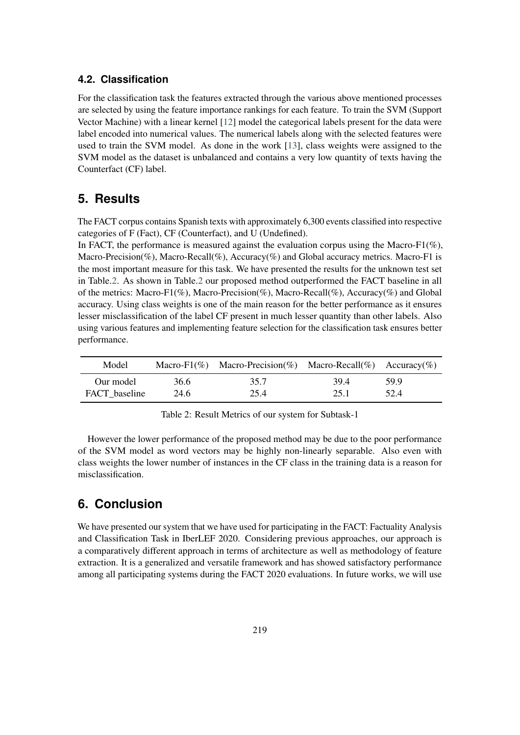#### **4.2. Classification**

For the classification task the features extracted through the various above mentioned processes are selected by using the feature importance rankings for each feature. To train the SVM (Support Vector Machine) with a linear kernel [\[12\]](#page-6-11) model the categorical labels present for the data were label encoded into numerical values. The numerical labels along with the selected features were used to train the SVM model. As done in the work [\[13\]](#page-6-12), class weights were assigned to the SVM model as the dataset is unbalanced and contains a very low quantity of texts having the Counterfact (CF) label.

### <span id="page-5-0"></span>**5. Results**

The FACT corpus contains Spanish texts with approximately 6,300 events classified into respective categories of F (Fact), CF (Counterfact), and U (Undefined).

In FACT, the performance is measured against the evaluation corpus using the Macro-F1( $\%$ ). Macro-Precision(%), Macro-Recall(%), Accuracy(%) and Global accuracy metrics. Macro-F1 is the most important measure for this task. We have presented the results for the unknown test set in Table[.2.](#page-5-2) As shown in Table[.2](#page-5-2) our proposed method outperformed the FACT baseline in all of the metrics: Macro-F1(%), Macro-Precision(%), Macro-Recall(%), Accuracy(%) and Global accuracy. Using class weights is one of the main reason for the better performance as it ensures lesser misclassification of the label CF present in much lesser quantity than other labels. Also using various features and implementing feature selection for the classification task ensures better performance.

<span id="page-5-2"></span>

| Model         |      | Macro-F1(%) Macro-Precision(%) Macro-Recall(%) Accuracy(%) |      |       |
|---------------|------|------------------------------------------------------------|------|-------|
| Our model     | 36.6 | 35.7                                                       | 39.4 | -59 9 |
| FACT baseline | 24.6 | 25.4                                                       | 25.1 | 52.4  |

Table 2: Result Metrics of our system for Subtask-1

However the lower performance of the proposed method may be due to the poor performance of the SVM model as word vectors may be highly non-linearly separable. Also even with class weights the lower number of instances in the CF class in the training data is a reason for misclassification.

### <span id="page-5-1"></span>**6. Conclusion**

We have presented our system that we have used for participating in the FACT: Factuality Analysis and Classification Task in IberLEF 2020. Considering previous approaches, our approach is a comparatively different approach in terms of architecture as well as methodology of feature extraction. It is a generalized and versatile framework and has showed satisfactory performance among all participating systems during the FACT 2020 evaluations. In future works, we will use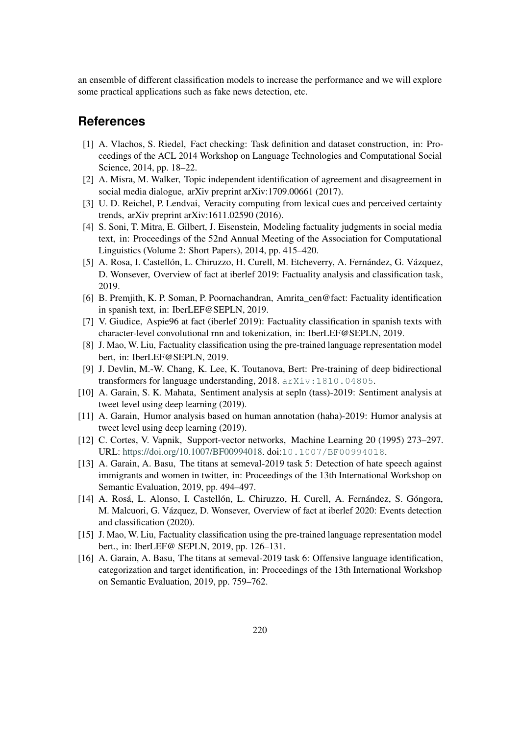an ensemble of different classification models to increase the performance and we will explore some practical applications such as fake news detection, etc.

#### **References**

- <span id="page-6-0"></span>[1] A. Vlachos, S. Riedel, Fact checking: Task definition and dataset construction, in: Proceedings of the ACL 2014 Workshop on Language Technologies and Computational Social Science, 2014, pp. 18–22.
- <span id="page-6-1"></span>[2] A. Misra, M. Walker, Topic independent identification of agreement and disagreement in social media dialogue, arXiv preprint arXiv:1709.00661 (2017).
- <span id="page-6-2"></span>[3] U. D. Reichel, P. Lendvai, Veracity computing from lexical cues and perceived certainty trends, arXiv preprint arXiv:1611.02590 (2016).
- <span id="page-6-3"></span>[4] S. Soni, T. Mitra, E. Gilbert, J. Eisenstein, Modeling factuality judgments in social media text, in: Proceedings of the 52nd Annual Meeting of the Association for Computational Linguistics (Volume 2: Short Papers), 2014, pp. 415–420.
- <span id="page-6-4"></span>[5] A. Rosa, I. Castellón, L. Chiruzzo, H. Curell, M. Etcheverry, A. Fernández, G. Vázquez, D. Wonsever, Overview of fact at iberlef 2019: Factuality analysis and classification task, 2019.
- <span id="page-6-5"></span>[6] B. Premjith, K. P. Soman, P. Poornachandran, Amrita\_cen@fact: Factuality identification in spanish text, in: IberLEF@SEPLN, 2019.
- <span id="page-6-6"></span>[7] V. Giudice, Aspie96 at fact (iberlef 2019): Factuality classification in spanish texts with character-level convolutional rnn and tokenization, in: IberLEF@SEPLN, 2019.
- <span id="page-6-7"></span>[8] J. Mao, W. Liu, Factuality classification using the pre-trained language representation model bert, in: IberLEF@SEPLN, 2019.
- <span id="page-6-8"></span>[9] J. Devlin, M.-W. Chang, K. Lee, K. Toutanova, Bert: Pre-training of deep bidirectional transformers for language understanding, 2018. [arXiv:1810.04805](http://arxiv.org/abs/1810.04805).
- <span id="page-6-9"></span>[10] A. Garain, S. K. Mahata, Sentiment analysis at sepln (tass)-2019: Sentiment analysis at tweet level using deep learning (2019).
- <span id="page-6-10"></span>[11] A. Garain, Humor analysis based on human annotation (haha)-2019: Humor analysis at tweet level using deep learning (2019).
- <span id="page-6-11"></span>[12] C. Cortes, V. Vapnik, Support-vector networks, Machine Learning 20 (1995) 273–297. URL: [https://doi.org/10.1007/BF00994018.](https://doi.org/10.1007/BF00994018) doi:[10.1007/BF00994018](http://dx.doi.org/10.1007/BF00994018).
- <span id="page-6-12"></span>[13] A. Garain, A. Basu, The titans at semeval-2019 task 5: Detection of hate speech against immigrants and women in twitter, in: Proceedings of the 13th International Workshop on Semantic Evaluation, 2019, pp. 494–497.
- [14] A. Rosá, L. Alonso, I. Castellón, L. Chiruzzo, H. Curell, A. Fernández, S. Góngora, M. Malcuori, G. Vázquez, D. Wonsever, Overview of fact at iberlef 2020: Events detection and classification (2020).
- [15] J. Mao, W. Liu, Factuality classification using the pre-trained language representation model bert., in: IberLEF@ SEPLN, 2019, pp. 126–131.
- [16] A. Garain, A. Basu, The titans at semeval-2019 task 6: Offensive language identification, categorization and target identification, in: Proceedings of the 13th International Workshop on Semantic Evaluation, 2019, pp. 759–762.